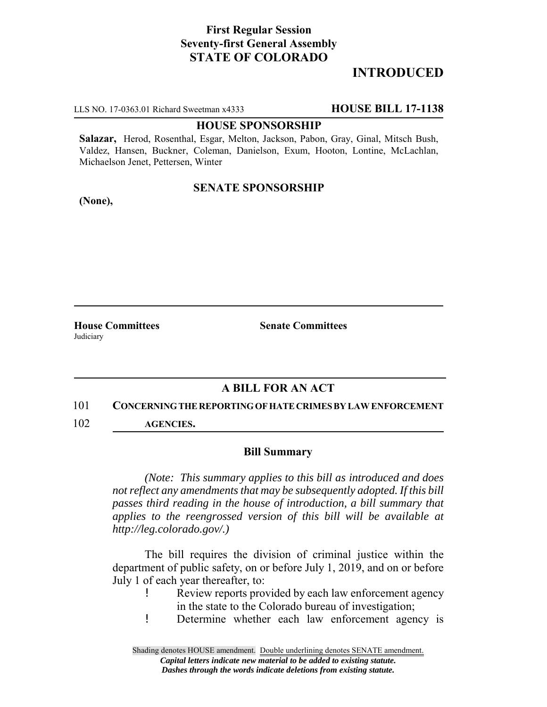# **First Regular Session Seventy-first General Assembly STATE OF COLORADO**

# **INTRODUCED**

LLS NO. 17-0363.01 Richard Sweetman x4333 **HOUSE BILL 17-1138**

### **HOUSE SPONSORSHIP**

**Salazar,** Herod, Rosenthal, Esgar, Melton, Jackson, Pabon, Gray, Ginal, Mitsch Bush, Valdez, Hansen, Buckner, Coleman, Danielson, Exum, Hooton, Lontine, McLachlan, Michaelson Jenet, Pettersen, Winter

## **SENATE SPONSORSHIP**

**(None),**

**Judiciary** 

**House Committees Senate Committees** 

## **A BILL FOR AN ACT**

### 101 **CONCERNING THE REPORTING OF HATE CRIMES BY LAW ENFORCEMENT**

102 **AGENCIES.**

### **Bill Summary**

*(Note: This summary applies to this bill as introduced and does not reflect any amendments that may be subsequently adopted. If this bill passes third reading in the house of introduction, a bill summary that applies to the reengrossed version of this bill will be available at http://leg.colorado.gov/.)*

The bill requires the division of criminal justice within the department of public safety, on or before July 1, 2019, and on or before July 1 of each year thereafter, to:

- Review reports provided by each law enforcement agency in the state to the Colorado bureau of investigation;
- ! Determine whether each law enforcement agency is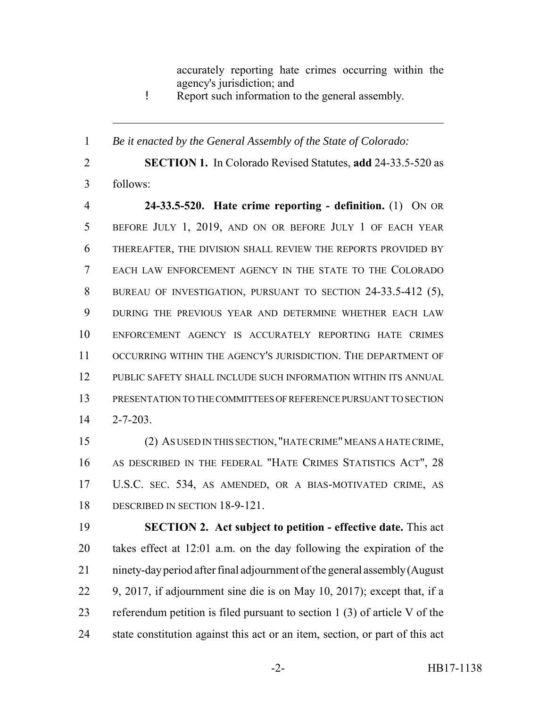accurately reporting hate crimes occurring within the agency's jurisdiction; and

! Report such information to the general assembly.

*Be it enacted by the General Assembly of the State of Colorado:*

 **SECTION 1.** In Colorado Revised Statutes, **add** 24-33.5-520 as follows:

 **24-33.5-520. Hate crime reporting - definition.** (1) ON OR BEFORE JULY 1, 2019, AND ON OR BEFORE JULY 1 OF EACH YEAR THEREAFTER, THE DIVISION SHALL REVIEW THE REPORTS PROVIDED BY EACH LAW ENFORCEMENT AGENCY IN THE STATE TO THE COLORADO BUREAU OF INVESTIGATION, PURSUANT TO SECTION 24-33.5-412 (5), DURING THE PREVIOUS YEAR AND DETERMINE WHETHER EACH LAW ENFORCEMENT AGENCY IS ACCURATELY REPORTING HATE CRIMES OCCURRING WITHIN THE AGENCY'S JURISDICTION. THE DEPARTMENT OF PUBLIC SAFETY SHALL INCLUDE SUCH INFORMATION WITHIN ITS ANNUAL PRESENTATION TO THE COMMITTEES OF REFERENCE PURSUANT TO SECTION 2-7-203.

 (2) AS USED IN THIS SECTION, "HATE CRIME" MEANS A HATE CRIME, AS DESCRIBED IN THE FEDERAL "HATE CRIMES STATISTICS ACT", 28 U.S.C. SEC. 534, AS AMENDED, OR A BIAS-MOTIVATED CRIME, AS DESCRIBED IN SECTION 18-9-121.

 **SECTION 2. Act subject to petition - effective date.** This act takes effect at 12:01 a.m. on the day following the expiration of the ninety-day period after final adjournment of the general assembly (August 9, 2017, if adjournment sine die is on May 10, 2017); except that, if a referendum petition is filed pursuant to section 1 (3) of article V of the state constitution against this act or an item, section, or part of this act